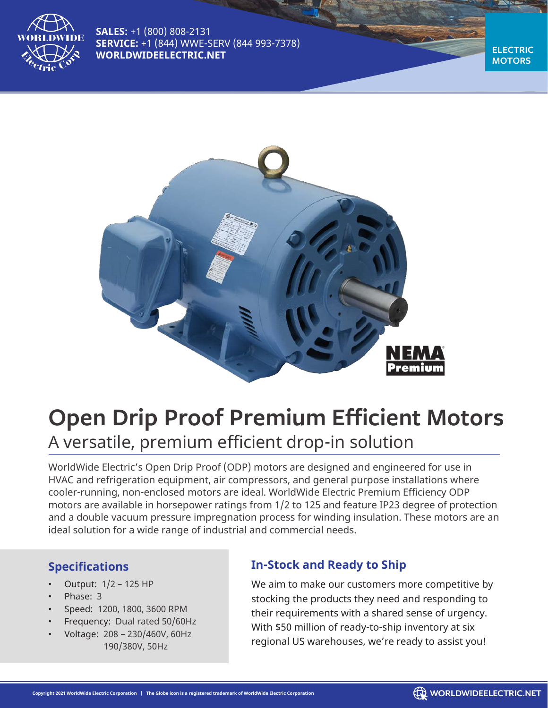

**SALES:** +1 (800) 808-2131 **SERVICE:** +1 (844) WWE-SERV (844 993-7378) **WORLDWIDEELECTRIC.NET** 

**MOTORS**



# **Open Drip Proof Premium Efficient Motors** A versatile, premium efficient drop-in solution

WorldWide Electric's Open Drip Proof (ODP) motors are designed and engineered for use in HVAC and refrigeration equipment, air compressors, and general purpose installations where cooler-running, non-enclosed motors are ideal. WorldWide Electric Premium Efficiency ODP motors are available in horsepower ratings from 1/2 to 125 and feature IP23 degree of protection and a double vacuum pressure impregnation process for winding insulation. These motors are an ideal solution for a wide range of industrial and commercial needs.

#### **Specifications**

- Output: 1/2 125 HP
- Phase: 3
- Speed: 1200, 1800, 3600 RPM
- Frequency: Dual rated 50/60Hz
	- Voltage: 208 230/460V, 60Hz 190/380V, 50Hz

### **In-Stock and Ready to Ship**

We aim to make our customers more competitive by stocking the products they need and responding to their requirements with a shared sense of urgency. With \$50 million of ready-to-ship inventory at six regional US warehouses, we're ready to assist you!